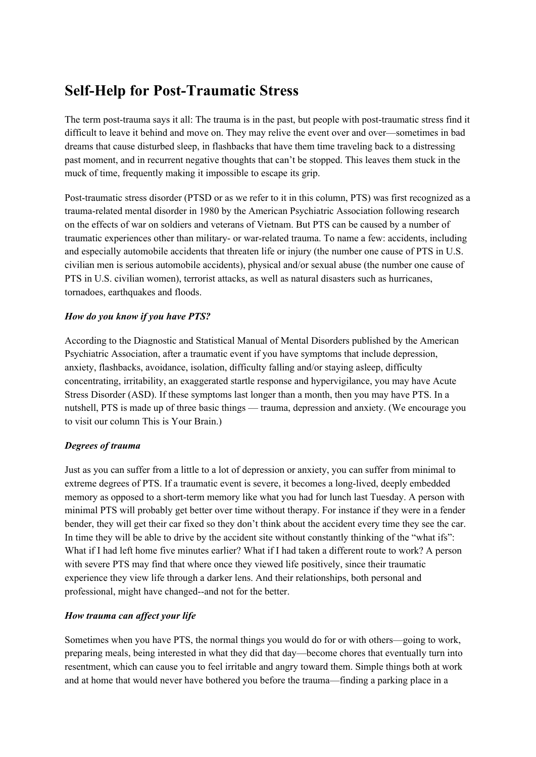# **Self-Help for Post-Traumatic Stress**

The term post-trauma says it all: The trauma is in the past, but people with post-traumatic stress find it difficult to leave it behind and move on. They may relive the event over and over—sometimes in bad dreams that cause disturbed sleep, in flashbacks that have them time traveling back to a distressing past moment, and in recurrent negative thoughts that can't be stopped. This leaves them stuck in the muck of time, frequently making it impossible to escape its grip.

Post-traumatic stress disorder (PTSD or as we refer to it in this column, PTS) was first recognized as a trauma-related mental disorder in 1980 by the American Psychiatric Association following research on the effects of war on soldiers and veterans of Vietnam. But PTS can be caused by a number of traumatic experiences other than military- or war-related trauma. To name a few: accidents, including and especially automobile accidents that threaten life or injury (the number one cause of PTS in U.S. civilian men is serious automobile accidents), physical and/or sexual abuse (the number one cause of PTS in U.S. civilian women), terrorist attacks, as well as natural disasters such as hurricanes, tornadoes, earthquakes and floods.

### *How do you know if you have PTS?*

According to the Diagnostic and Statistical Manual of Mental Disorders published by the American Psychiatric Association, after a traumatic event if you have symptoms that include depression, anxiety, flashbacks, avoidance, isolation, difficulty falling and/or staying asleep, difficulty concentrating, irritability, an exaggerated startle response and hypervigilance, you may have Acute Stress Disorder (ASD). If these symptoms last longer than a month, then you may have PTS. In a nutshell, PTS is made up of three basic things — trauma, depression and anxiety. (We encourage you to visit our column This is Your Brain.)

#### *Degrees of trauma*

Just as you can suffer from a little to a lot of depression or anxiety, you can suffer from minimal to extreme degrees of PTS. If a traumatic event is severe, it becomes a long-lived, deeply embedded memory as opposed to a short-term memory like what you had for lunch last Tuesday. A person with minimal PTS will probably get better over time without therapy. For instance if they were in a fender bender, they will get their car fixed so they don't think about the accident every time they see the car. In time they will be able to drive by the accident site without constantly thinking of the "what ifs": What if I had left home five minutes earlier? What if I had taken a different route to work? A person with severe PTS may find that where once they viewed life positively, since their traumatic experience they view life through a darker lens. And their relationships, both personal and professional, might have changed--and not for the better.

### *How trauma can af ect your life*

Sometimes when you have PTS, the normal things you would do for or with others—going to work, preparing meals, being interested in what they did that day—become chores that eventually turn into resentment, which can cause you to feel irritable and angry toward them. Simple things both at work and at home that would never have bothered you before the trauma—finding a parking place in a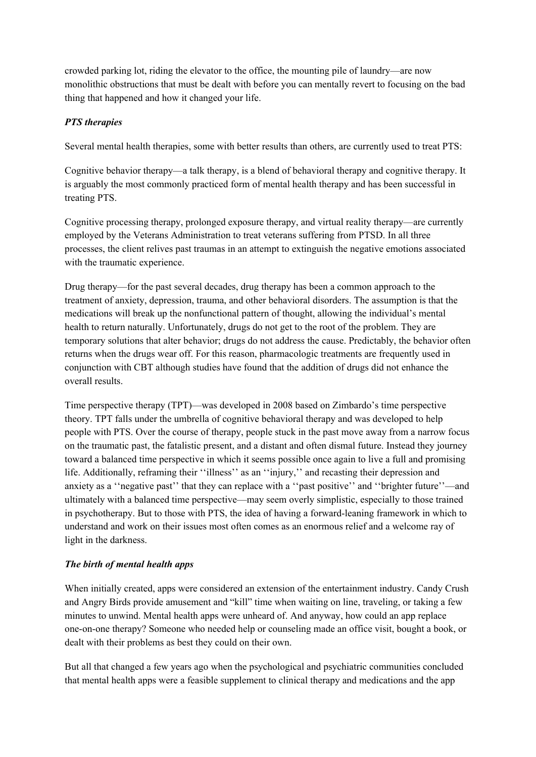crowded parking lot, riding the elevator to the office, the mounting pile of laundry—are now monolithic obstructions that must be dealt with before you can mentally revert to focusing on the bad thing that happened and how it changed your life.

#### *PTS therapies*

Several mental health therapies, some with better results than others, are currently used to treat PTS:

Cognitive behavior therapy—a talk therapy, is a blend of behavioral therapy and cognitive therapy. It is arguably the most commonly practiced form of mental health therapy and has been successful in treating PTS.

Cognitive processing therapy, prolonged exposure therapy, and virtual reality therapy—are currently employed by the Veterans Administration to treat veterans suffering from PTSD. In all three processes, the client relives past traumas in an attempt to extinguish the negative emotions associated with the traumatic experience.

Drug therapy—for the past several decades, drug therapy has been a common approach to the treatment of anxiety, depression, trauma, and other behavioral disorders. The assumption is that the medications will break up the nonfunctional pattern of thought, allowing the individual's mental health to return naturally. Unfortunately, drugs do not get to the root of the problem. They are temporary solutions that alter behavior; drugs do not address the cause. Predictably, the behavior often returns when the drugs wear off. For this reason, pharmacologic treatments are frequently used in conjunction with CBT although studies have found that the addition of drugs did not enhance the overall results.

Time perspective therapy (TPT)—was developed in 2008 based on Zimbardo's time perspective theory. TPT falls under the umbrella of cognitive behavioral therapy and was developed to help people with PTS. Over the course of therapy, people stuck in the past move away from a narrow focus on the traumatic past, the fatalistic present, and a distant and often dismal future. Instead they journey toward a balanced time perspective in which it seems possible once again to live a full and promising life. Additionally, reframing their "illness" as an "injury," and recasting their depression and anxiety as a ''negative past'' that they can replace with a ''past positive'' and ''brighter future''—and ultimately with a balanced time perspective—may seem overly simplistic, especially to those trained in psychotherapy. But to those with PTS, the idea of having a forward-leaning framework in which to understand and work on their issues most often comes as an enormous relief and a welcome ray of light in the darkness.

### *The birth of mental health apps*

When initially created, apps were considered an extension of the entertainment industry. Candy Crush and Angry Birds provide amusement and "kill" time when waiting on line, traveling, or taking a few minutes to unwind. Mental health apps were unheard of. And anyway, how could an app replace one-on-one therapy? Someone who needed help or counseling made an office visit, bought a book, or dealt with their problems as best they could on their own.

But all that changed a few years ago when the psychological and psychiatric communities concluded that mental health apps were a feasible supplement to clinical therapy and medications and the app